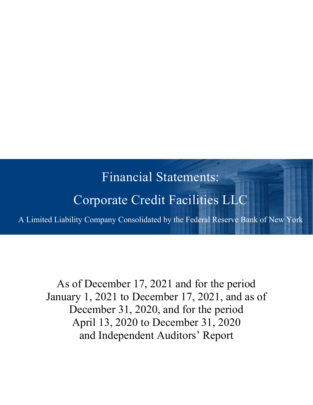# Financial Statements:

# Corporate Credit Facilities LLC

A Limited Liability Company Consolidated by the Federal Reserve Bank of New York

As of December 17, 2021 and for the period January 1, 2021 to December 17, 2021, and as of December 31, 2020, and for the period April 13, 2020 to December 31, 2020 and Independent Auditors' Report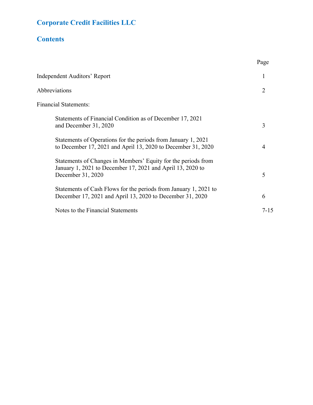## **Corporate Credit Facilities LLC**

## **Contents**

|                                                                                                                                                  | Page     |
|--------------------------------------------------------------------------------------------------------------------------------------------------|----------|
| Independent Auditors' Report                                                                                                                     | 1        |
| Abbreviations                                                                                                                                    | 2        |
| <b>Financial Statements:</b>                                                                                                                     |          |
| Statements of Financial Condition as of December 17, 2021<br>and December 31, 2020                                                               | 3        |
| Statements of Operations for the periods from January 1, 2021<br>to December 17, 2021 and April 13, 2020 to December 31, 2020                    | 4        |
| Statements of Changes in Members' Equity for the periods from<br>January 1, 2021 to December 17, 2021 and April 13, 2020 to<br>December 31, 2020 | 5        |
| Statements of Cash Flows for the periods from January 1, 2021 to<br>December 17, 2021 and April 13, 2020 to December 31, 2020                    | 6        |
| Notes to the Financial Statements                                                                                                                | $7 - 15$ |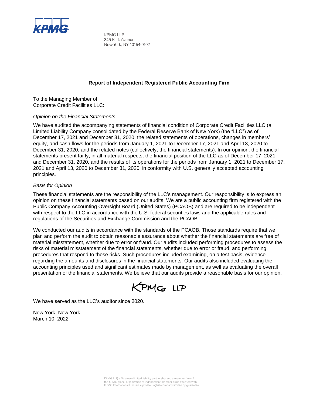

KPMG LLP 345 Park Avenue New York, NY 10154-0102

#### **Report of Independent Registered Public Accounting Firm**

To the Managing Member of Corporate Credit Facilities LLC:

#### *Opinion on the Financial Statements*

We have audited the accompanying statements of financial condition of Corporate Credit Facilities LLC (a Limited Liability Company consolidated by the Federal Reserve Bank of New York) (the "LLC") as of December 17, 2021 and December 31, 2020, the related statements of operations, changes in members' equity, and cash flows for the periods from January 1, 2021 to December 17, 2021 and April 13, 2020 to December 31, 2020, and the related notes (collectively, the financial statements). In our opinion, the financial statements present fairly, in all material respects, the financial position of the LLC as of December 17, 2021 and December 31, 2020, and the results of its operations for the periods from January 1, 2021 to December 17, 2021 and April 13, 2020 to December 31, 2020, in conformity with U.S. generally accepted accounting principles.

#### *Basis for Opinion*

These financial statements are the responsibility of the LLC's management. Our responsibility is to express an opinion on these financial statements based on our audits. We are a public accounting firm registered with the Public Company Accounting Oversight Board (United States) (PCAOB) and are required to be independent with respect to the LLC in accordance with the U.S. federal securities laws and the applicable rules and regulations of the Securities and Exchange Commission and the PCAOB.

We conducted our audits in accordance with the standards of the PCAOB. Those standards require that we plan and perform the audit to obtain reasonable assurance about whether the financial statements are free of material misstatement, whether due to error or fraud. Our audits included performing procedures to assess the risks of material misstatement of the financial statements, whether due to error or fraud, and performing procedures that respond to those risks. Such procedures included examining, on a test basis, evidence regarding the amounts and disclosures in the financial statements. Our audits also included evaluating the accounting principles used and significant estimates made by management, as well as evaluating the overall presentation of the financial statements. We believe that our audits provide a reasonable basis for our opinion.

KPMG LLP

We have served as the LLC's auditor since 2020.

New York, New York March 10, 2022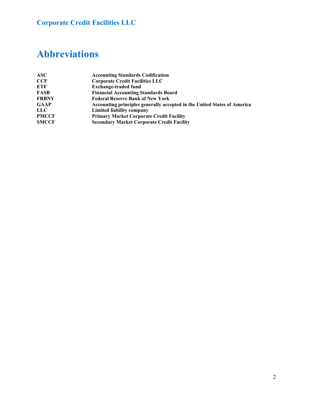## **Corporate Credit Facilities LLC**

## **Abbreviations**

| ASC          | <b>Accounting Standards Codification</b>                                 |
|--------------|--------------------------------------------------------------------------|
| CCF          | <b>Corporate Credit Facilities LLC</b>                                   |
| ETF          | <b>Exchange-traded fund</b>                                              |
| FASB         | <b>Financial Accounting Standards Board</b>                              |
| <b>FRBNY</b> | <b>Federal Reserve Bank of New York</b>                                  |
| <b>GAAP</b>  | Accounting principles generally accepted in the United States of America |
| LLC          | Limited liability company                                                |
| <b>PMCCF</b> | <b>Primary Market Corporate Credit Facility</b>                          |
| <b>SMCCF</b> | <b>Secondary Market Corporate Credit Facility</b>                        |
|              |                                                                          |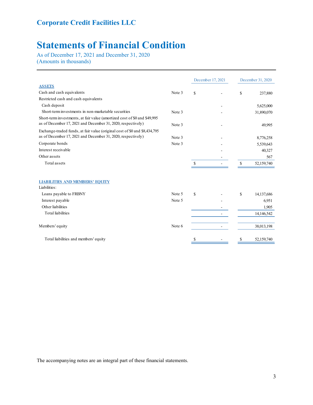## **Statements of Financial Condition**

As of December 17, 2021 and December 31, 2020 (Amounts in thousands)

|                                                                                                                                           |        |               | December 17, 2021 |    | December 31, 2020 |
|-------------------------------------------------------------------------------------------------------------------------------------------|--------|---------------|-------------------|----|-------------------|
| <b>ASSETS</b>                                                                                                                             |        |               |                   |    |                   |
| Cash and cash equivalents                                                                                                                 | Note 3 | <sup>\$</sup> |                   | S  | 237,880           |
| Restricted cash and cash equivalents                                                                                                      |        |               |                   |    |                   |
| Cash deposit                                                                                                                              |        |               |                   |    | 5,625,000         |
| Short-term investments in non-marketable securities                                                                                       | Note 3 |               |                   |    | 31,890,070        |
| Short-term investments, at fair value (amortized cost of \$0 and \$49,995<br>as of December 17, 2021 and December 31, 2020, respectively) | Note 3 |               |                   |    | 49,995            |
| Exchange-traded funds, at fair value (original cost of \$0 and \$8,434,795)                                                               |        |               |                   |    |                   |
| as of December 17, 2021 and December 31, 2020, respectively)                                                                              | Note 3 |               |                   |    | 8,776,258         |
| Corporate bonds                                                                                                                           | Note 3 |               |                   |    | 5,539,643         |
| Interest receivable                                                                                                                       |        |               |                   |    | 40,327            |
| Other assets                                                                                                                              |        |               |                   |    | 567               |
| Total assets                                                                                                                              |        | \$            |                   | \$ | 52,159,740        |
|                                                                                                                                           |        |               |                   |    |                   |
| <b>LIABILITIES AND MEMBERS' EQUITY</b>                                                                                                    |        |               |                   |    |                   |
| Liabilities:                                                                                                                              |        |               |                   |    |                   |
| Loans payable to FRBNY                                                                                                                    | Note 5 | <sup>\$</sup> |                   | S  | 14, 137, 686      |
| Interest payable                                                                                                                          | Note 5 |               |                   |    | 6,951             |
| Other liabilities                                                                                                                         |        |               |                   |    | 1,905             |
| <b>Total liabilities</b>                                                                                                                  |        |               |                   |    | 14,146,542        |
| Members' equity                                                                                                                           | Note 6 |               |                   |    | 38,013,198        |
|                                                                                                                                           |        |               |                   |    |                   |
| Total liabilities and members' equity                                                                                                     |        | \$            |                   | \$ | 52,159,740        |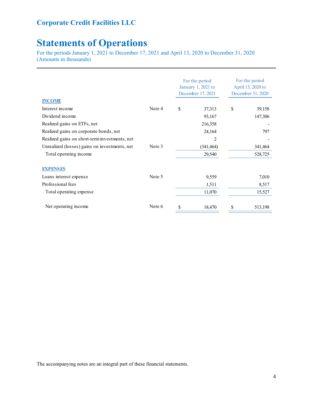### **Corporate Credit Facilities LLC**

## **Statements of Operations**

For the periods January 1, 2021 to December 17, 2021 and April 13, 2020 to December 31, 2020 (Amounts in thousands)

| <b>INCOME</b>                                 |        |    | For the period<br>January 1, 2021 to<br>December 17, 2021 | For the period<br>April 13, 2020 to<br>December 31, 2020 |         |  |
|-----------------------------------------------|--------|----|-----------------------------------------------------------|----------------------------------------------------------|---------|--|
| Interest income                               | Note 4 | S  | 37,313                                                    | \$                                                       | 39,158  |  |
| Dividend income                               |        |    | 93,167                                                    |                                                          | 147,306 |  |
| Realized gains on ETFs, net                   |        |    | 216,358                                                   |                                                          |         |  |
| Realized gains on corporate bonds, net        |        |    | 24,164                                                    |                                                          | 797     |  |
| Realized gains on short-term investments, net |        |    | 2                                                         |                                                          |         |  |
| Unrealized (losses) gains on investments, net | Note 3 |    | (341, 464)                                                |                                                          | 341,464 |  |
| Total operating income                        |        |    | 29,540                                                    |                                                          | 528,725 |  |
| <b>EXPENSES</b>                               |        |    |                                                           |                                                          |         |  |
| Loans interest expense                        | Note 5 |    | 9,559                                                     |                                                          | 7,010   |  |
| Professional fees                             |        |    | 1,511                                                     |                                                          | 8,517   |  |
| Total operating expense                       |        |    | 11,070                                                    |                                                          | 15,527  |  |
| Net operating income                          | Note 6 | \$ | 18,470                                                    | \$                                                       | 513,198 |  |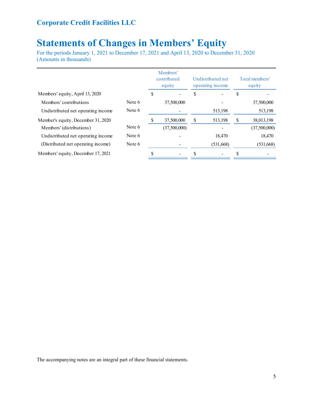## **Statements of Changes in Members' Equity**

For the periods January 1, 2021 to December 17, 2021 and April 13, 2020 to December 31, 2020 (Amounts in thousands)

|                                    |        |   | Members'<br>contributed<br>equity |    | Undistributed net<br>operating income | Total members'<br>equity |              |  |
|------------------------------------|--------|---|-----------------------------------|----|---------------------------------------|--------------------------|--------------|--|
| Members' equity, April 13, 2020    |        | J |                                   | S  |                                       | S                        |              |  |
| Members' contributions             | Note 6 |   | 37,500,000                        |    |                                       |                          | 37,500,000   |  |
| Undistributed net operating income | Note 6 |   |                                   |    | 513,198                               |                          | 513,198      |  |
| Member's equity, December 31, 2020 |        |   | 37,500,000                        | \$ | 513,198                               | S                        | 38,013,198   |  |
| Members' (distributions)           | Note 6 |   | (37,500,000)                      |    |                                       |                          | (37,500,000) |  |
| Undistributed net operating income | Note 6 |   |                                   |    | 18,470                                |                          | 18,470       |  |
| (Distributed net operating income) | Note 6 |   |                                   |    | (531,668)                             |                          | (531,668)    |  |
| Members' equity, December 17, 2021 |        |   |                                   |    |                                       |                          |              |  |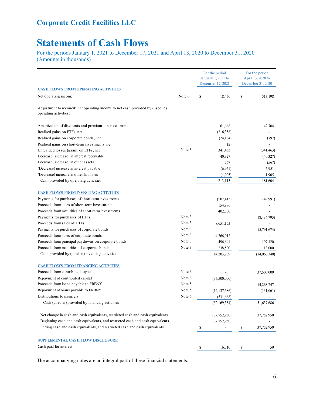## **Statements of Cash Flows**

For the periods January 1, 2021 to December 17, 2021 and April 13, 2020 to December 31, 2020 (Amounts in thousands)

|                                                                                                         |        | For the period<br>January 1, 2021 to<br>December 17, 2021 |               | For the period<br>April 13, 2020 to<br>December 31, 2020 |
|---------------------------------------------------------------------------------------------------------|--------|-----------------------------------------------------------|---------------|----------------------------------------------------------|
| <b>CASH FLOWS FROM OPERATING ACTIVITIES</b>                                                             |        |                                                           |               |                                                          |
| Net operating income                                                                                    | Note 6 | \$<br>18,470                                              | \$            | 513,198                                                  |
| Adjustment to reconcile net operating income to net cash provided by (used in)<br>operating activities: |        |                                                           |               |                                                          |
| Amortization of discounts and premiums on investments                                                   |        | 61.668                                                    |               | 42,704                                                   |
| Realized gains on ETFs, net                                                                             |        | (216, 358)                                                |               |                                                          |
| Realized gains on corporate bonds, net                                                                  |        | (24, 164)                                                 |               | (797)                                                    |
| Realized gains on short-term investments, net                                                           |        | (2)                                                       |               |                                                          |
| Unrealized losses (gains) on ETFs, net                                                                  | Note 3 | 341,463                                                   |               | (341, 463)                                               |
| Decrease (increase) in interest receivable                                                              |        | 40,327                                                    |               | (40,327)                                                 |
| Decrease (increase) in other assets                                                                     |        | 567                                                       |               | (567)                                                    |
| (Decrease) increase in interest payable                                                                 |        | (6,951)                                                   |               | 6,951                                                    |
| (Decrease) increase in other liabilities                                                                |        | (1,905)                                                   |               | 1,905                                                    |
| Cash provided by operating activities                                                                   |        | 213,115                                                   |               | 181,604                                                  |
| <b>CASH FLOWS FROM INVESTING ACTIVITIES</b>                                                             |        |                                                           |               |                                                          |
| Payments for purchases of short-term investments                                                        |        | (507, 413)                                                |               | (49,991)                                                 |
| Proceeds from sales of short-term investments                                                           |        | 154,996                                                   |               |                                                          |
| Proceeds from maturities of short-term investments                                                      |        | 402,500                                                   |               |                                                          |
| Payments for purchases of ETFs                                                                          | Note 3 |                                                           |               | (8, 434, 795)                                            |
| Proceeds from sales of ETFs                                                                             | Note 3 | 8,651,153                                                 |               |                                                          |
| Payments for purchases of corporate bonds                                                               | Note 3 |                                                           |               | (5,791,674)                                              |
| Proceeds from sales of corporate bonds                                                                  | Note 3 | 4,766,912                                                 |               |                                                          |
| Proceeds from principal paydowns on corporate bonds                                                     | Note 3 | 496,641                                                   |               | 197,120                                                  |
| Proceeds from maturities of corporate bonds                                                             | Note 3 | 238,500                                                   |               | 13,000                                                   |
| Cash provided by (used in) investing activities                                                         |        | 14,203,289                                                |               | (14,066,340)                                             |
| <b>CASH FLOWS FROM FINANCING ACTIVITIES</b>                                                             |        |                                                           |               |                                                          |
| Proceeds from contributed capital                                                                       | Note 6 |                                                           |               | 37,500,000                                               |
| Repayment of contributed capital                                                                        | Note 6 | (37,500,000)                                              |               |                                                          |
| Proceeds from loans payable to FRBNY                                                                    | Note 5 |                                                           |               | 14,268,747                                               |
| Repayment of loans payable to FRBNY                                                                     | Note 5 | (14, 137, 686)                                            |               | (131,061)                                                |
| Distributions to members                                                                                | Note 6 | (531, 668)                                                |               |                                                          |
| Cash (used in) provided by financing activities                                                         |        | (52, 169, 354)                                            |               | 51,637,686                                               |
| Net change in cash and cash equivalents, restricted cash and cash equivalents                           |        | (37, 752, 950)                                            |               | 37,752,950                                               |
| Beginning cash and cash equivalents, and restricted cash and cash equivalents                           |        | 37,752,950                                                |               |                                                          |
| Ending cash and cash equivalents, and restricted cash and cash equivalents                              |        | \$                                                        | $\frac{1}{2}$ | 37,752,950                                               |
|                                                                                                         |        |                                                           |               |                                                          |
| <b>SUPPLEMENTAL CASH FLOW DISCLOSURE</b>                                                                |        |                                                           |               |                                                          |
| Cash paid for interest                                                                                  |        | \$<br>16,510                                              | \$            | 59                                                       |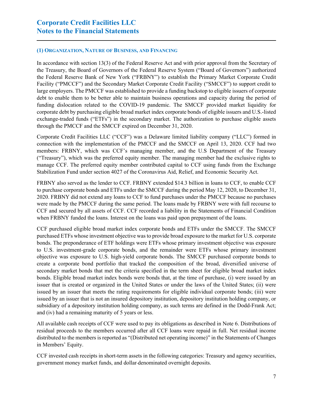#### **(1) ORGANIZATION, NATURE OF BUSINESS, AND FINANCING**

In accordance with section 13(3) of the Federal Reserve Act and with prior approval from the Secretary of the Treasury, the Board of Governors of the Federal Reserve System ("Board of Governors") authorized the Federal Reserve Bank of New York ("FRBNY") to establish the Primary Market Corporate Credit Facility ("PMCCF") and the Secondary Market Corporate Credit Facility ("SMCCF") to support credit to large employers. The PMCCF was established to provide a funding backstop to eligible issuers of corporate debt to enable them to be better able to maintain business operations and capacity during the period of funding dislocation related to the COVID-19 pandemic. The SMCCF provided market liquidity for corporate debt by purchasing eligible broad market index corporate bonds of eligible issuers and U.S.-listed exchange-traded funds ("ETFs") in the secondary market. The authorization to purchase eligible assets through the PMCCF and the SMCCF expired on December 31, 2020.

Corporate Credit Facilities LLC ("CCF") was a Delaware limited liability company ("LLC") formed in connection with the implementation of the PMCCF and the SMCCF on April 13, 2020. CCF had two members: FRBNY, which was CCF's managing member, and the U.S Department of the Treasury ("Treasury"), which was the preferred equity member. The managing member had the exclusive rights to manage CCF. The preferred equity member contributed capital to CCF using funds from the Exchange Stabilization Fund under section 4027 of the Coronavirus Aid, Relief, and Economic Security Act.

FRBNY also served as the lender to CCF. FRBNY extended \$14.3 billion in loans to CCF, to enable CCF to purchase corporate bonds and ETFs under the SMCCF during the period May 12, 2020, to December 31, 2020. FRBNY did not extend any loans to CCF to fund purchases under the PMCCF because no purchases were made by the PMCCF during the same period. The loans made by FRBNY were with full recourse to CCF and secured by all assets of CCF. CCF recorded a liability in the Statements of Financial Condition when FRBNY funded the loans. Interest on the loans was paid upon prepayment of the loans.

CCF purchased eligible broad market index corporate bonds and ETFs under the SMCCF. The SMCCF purchased ETFs whose investment objective was to provide broad exposure to the market for U.S. corporate bonds. The preponderance of ETF holdings were ETFs whose primary investment objective was exposure to U.S. investment-grade corporate bonds, and the remainder were ETFs whose primary investment objective was exposure to U.S. high-yield corporate bonds. The SMCCF purchased corporate bonds to create a corporate bond portfolio that tracked the composition of the broad, diversified universe of secondary market bonds that met the criteria specified in the term sheet for eligible broad market index bonds. Eligible broad market index bonds were bonds that, at the time of purchase, (i) were issued by an issuer that is created or organized in the United States or under the laws of the United States; (ii) were issued by an issuer that meets the rating requirements for eligible individual corporate bonds; (iii) were issued by an issuer that is not an insured depository institution, depository institution holding company, or subsidiary of a depository institution holding company, as such terms are defined in the Dodd-Frank Act; and (iv) had a remaining maturity of 5 years or less.

All available cash receipts of CCF were used to pay its obligations as described in Note 6. Distributions of residual proceeds to the members occurred after all CCF loans were repaid in full. Net residual income distributed to the members is reported as "(Distributed net operating income)" in the Statements of Changes in Members' Equity.

CCF invested cash receipts in short-term assets in the following categories: Treasury and agency securities, government money market funds, and dollar‐denominated overnight deposits.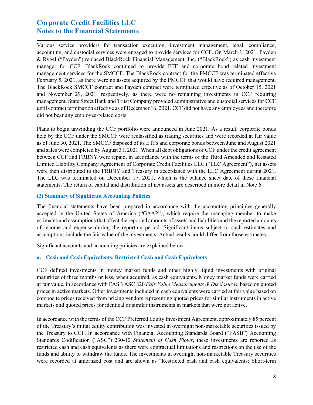Various service providers for transaction execution, investment management, legal, compliance, accounting, and custodial services were engaged to provide services for CCF. On March 1, 2021, Payden & Rygel ("Payden") replaced BlackRock Financial Management, Inc. ("BlackRock") as cash investment manager for CCF. BlackRock continued to provide ETF and corporate bond related investment management services for the SMCCF. The BlackRock contract for the PMCCF was terminated effective February 5, 2021, as there were no assets acquired by the PMCCF that would have required management. The BlackRock SMCCF contract and Payden contract were terminated effective as of October 15, 2021 and November 29, 2021, respectively, as there were no remaining investments in CCF requiring management. State Street Bank and Trust Company provided administrative and custodial services for CCF until contract termination effective as of December 16, 2021. CCF did not have any employees and therefore did not bear any employee-related costs.

Plans to begin unwinding the CCF portfolio were announced in June 2021. As a result, corporate bonds held by the CCF under the SMCCF were reclassified as trading securities and were recorded at fair value as of June 30, 2021. The SMCCF disposed of its ETFs and corporate bonds between June and August 2021 and sales were completed by August 31, 2021. When all debt obligations of CCF under the credit agreement between CCF and FRBNY were repaid, in accordance with the terms of the Third Amended and Restated Limited Liability Company Agreement of Corporate Credit Facilities LLC ("LLC Agreement"), net assets were then distributed to the FRBNY and Treasury in accordance with the LLC Agreement during 2021. The LLC was terminated on December 17, 2021, which is the balance sheet date of these financial statements. The return of capital and distribution of net assets are described in more detail in Note 6.

#### **(2) Summary of Significant Accounting Policies**

The financial statements have been prepared in accordance with the accounting principles generally accepted in the United States of America ("GAAP"), which require the managing member to make estimates and assumptions that affect the reported amounts of assets and liabilities and the reported amounts of income and expense during the reporting period. Significant items subject to such estimates and assumptions include the fair value of the investments. Actual results could differ from those estimates.

Significant accounts and accounting policies are explained below.

#### **a. Cash and Cash Equivalents, Restricted Cash and Cash Equivalents**

CCF defined investments in money market funds and other highly liquid investments with original maturities of three months or less, when acquired, as cash equivalents. Money market funds were carried at fair value, in accordance with FASB ASC 820 *Fair Value Measurements & Disclosures*, based on quoted prices in active markets. Other investments included in cash equivalents were carried at fair value based on composite prices received from pricing vendors representing quoted prices for similar instruments in active markets and quoted prices for identical or similar instruments in markets that were not active.

In accordance with the terms of the CCF Preferred Equity Investment Agreement, approximately 85 percent of the Treasury's initial equity contribution was invested in overnight non-marketable securities issued by the Treasury to CCF. In accordance with Financial Accounting Standards Board ("FASB") Accounting Standards Codification ("ASC") 230-10 *Statement of Cash Flows*, these investments are reported as restricted cash and cash equivalents as there were contractual limitations and restrictions on the use of the funds and ability to withdraw the funds. The investments in overnight non-marketable Treasury securities were recorded at amortized cost and are shown as "Restricted cash and cash equivalents: Short-term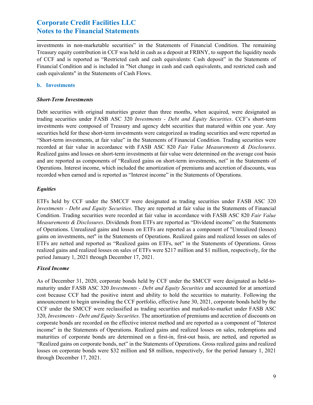investments in non-marketable securities" in the Statements of Financial Condition. The remaining Treasury equity contribution in CCF was held in cash as a deposit at FRBNY, to support the liquidity needs of CCF and is reported as "Restricted cash and cash equivalents: Cash deposit" in the Statements of Financial Condition and is included in "Net change in cash and cash equivalents, and restricted cash and cash equivalents" in the Statements of Cash Flows.

#### **b. Investments**

#### *Short-Term Investments*

Debt securities with original maturities greater than three months, when acquired, were designated as trading securities under FASB ASC 320 *Investments - Debt and Equity Securities*. CCF's short-term investments were composed of Treasury and agency debt securities that matured within one year. Any securities held for these short-term investments were categorized as trading securities and were reported as "Short-term investments, at fair value" in the Statements of Financial Condition. Trading securities were recorded at fair value in accordance with FASB ASC 820 *Fair Value Measurements & Disclosures*. Realized gains and losses on short-term investments at fair value were determined on the average cost basis and are reported as components of "Realized gains on short-term investments, net" in the Statements of Operations. Interest income, which included the amortization of premiums and accretion of discounts, was recorded when earned and is reported as "Interest income" in the Statements of Operations.

#### *Equities*

ETFs held by CCF under the SMCCF were designated as trading securities under FASB ASC 320 *Investments - Debt and Equity Securities*. They are reported at fair value in the Statements of Financial Condition. Trading securities were recorded at fair value in accordance with FASB ASC 820 *Fair Value Measurements & Disclosures*. Dividends from ETFs are reported as "Dividend income" on the Statements of Operations. Unrealized gains and losses on ETFs are reported as a component of "Unrealized (losses) gains on investments, net" in the Statements of Operations. Realized gains and realized losses on sales of ETFs are netted and reported as "Realized gains on ETFs, net" in the Statements of Operations. Gross realized gains and realized losses on sales of ETFs were \$217 million and \$1 million, respectively, for the period January 1, 2021 through December 17, 2021.

#### *Fixed Income*

As of December 31, 2020, corporate bonds held by CCF under the SMCCF were designated as held-tomaturity under FASB ASC 320 *Investments - Debt and Equity Securities* and accounted for at amortized cost because CCF had the positive intent and ability to hold the securities to maturity. Following the announcement to begin unwinding the CCF portfolio, effective June 30, 2021, corporate bonds held by the CCF under the SMCCF were reclassified as trading securities and marked-to-market under FASB ASC 320, *Investments - Debt and Equity Securities*. The amortization of premiums and accretion of discounts on corporate bonds are recorded on the effective interest method and are reported as a component of "Interest income" in the Statements of Operations. Realized gains and realized losses on sales, redemptions and maturities of corporate bonds are determined on a first-in, first-out basis, are netted, and reported as "Realized gains on corporate bonds, net" in the Statements of Operations. Gross realized gains and realized losses on corporate bonds were \$32 million and \$8 million, respectively, for the period January 1, 2021 through December 17, 2021.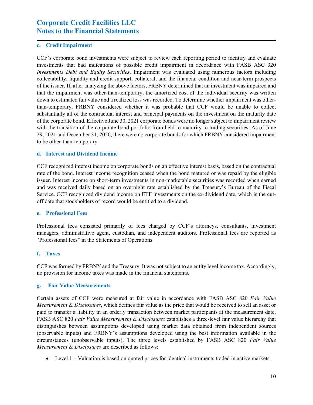#### **c. Credit Impairment**

CCF's corporate bond investments were subject to review each reporting period to identify and evaluate investments that had indications of possible credit impairment in accordance with FASB ASC 320 *Investments Debt and Equity Securities*. Impairment was evaluated using numerous factors including collectability, liquidity and credit support, collateral, and the financial condition and near-term prospects of the issuer. If, after analyzing the above factors, FRBNY determined that an investment was impaired and that the impairment was other-than-temporary, the amortized cost of the individual security was written down to estimated fair value and a realized loss was recorded. To determine whether impairment was otherthan-temporary, FRBNY considered whether it was probable that CCF would be unable to collect substantially all of the contractual interest and principal payments on the investment on the maturity date of the corporate bond. Effective June 30, 2021 corporate bonds were no longer subject to impairment review with the transition of the corporate bond portfolio from held-to-maturity to trading securities. As of June 29, 2021 and December 31, 2020, there were no corporate bonds for which FRBNY considered impairment to be other-than-temporary.

#### **d. Interest and Dividend Income**

CCF recognized interest income on corporate bonds on an effective interest basis, based on the contractual rate of the bond. Interest income recognition ceased when the bond matured or was repaid by the eligible issuer. Interest income on short-term investments in non-marketable securities was recorded when earned and was received daily based on an overnight rate established by the Treasury's Bureau of the Fiscal Service. CCF recognized dividend income on ETF investments on the ex-dividend date, which is the cutoff date that stockholders of record would be entitled to a dividend.

#### **e. Professional Fees**

Professional fees consisted primarily of fees charged by CCF's attorneys, consultants, investment managers, administrative agent, custodian, and independent auditors. Professional fees are reported as "Professional fees" in the Statements of Operations.

#### **f. Taxes**

CCF was formed by FRBNY and the Treasury. It was not subject to an entity level income tax. Accordingly, no provision for income taxes was made in the financial statements.

#### **g. Fair Value Measurements**

Certain assets of CCF were measured at fair value in accordance with FASB ASC 820 *Fair Value Measurement & Disclosures*, which defines fair value as the price that would be received to sell an asset or paid to transfer a liability in an orderly transaction between market participants at the measurement date. FASB ASC 820 *Fair Value Measurement & Disclosures* establishes a three-level fair value hierarchy that distinguishes between assumptions developed using market data obtained from independent sources (observable inputs) and FRBNY's assumptions developed using the best information available in the circumstances (unobservable inputs). The three levels established by FASB ASC 820 *Fair Value Measurement & Disclosures* are described as follows:

Level 1 – Valuation is based on quoted prices for identical instruments traded in active markets.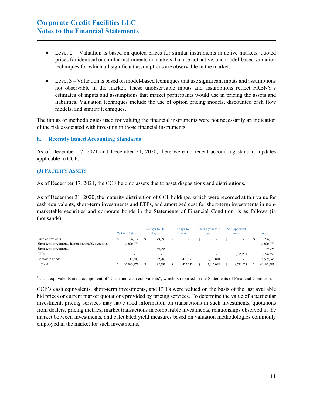- Level  $2 -$  Valuation is based on quoted prices for similar instruments in active markets, quoted prices for identical or similar instruments in markets that are not active, and model-based valuation techniques for which all significant assumptions are observable in the market.
- $\bullet$  Level 3 Valuation is based on model-based techniques that use significant inputs and assumptions not observable in the market. These unobservable inputs and assumptions reflect FRBNY's estimates of inputs and assumptions that market participants would use in pricing the assets and liabilities. Valuation techniques include the use of option pricing models, discounted cash flow models, and similar techniques.

The inputs or methodologies used for valuing the financial instruments were not necessarily an indication of the risk associated with investing in those financial instruments.

#### **h. Recently Issued Accounting Standards**

As of December 17, 2021 and December 31, 2020, there were no recent accounting standard updates applicable to CCF.

#### **(3) FACILITY ASSETS**

As of December 17, 2021, the CCF held no assets due to asset dispositions and distributions.

As of December 31, 2020, the maturity distribution of CCF holdings, which were recorded at fair value for cash equivalents, short-term investments and ETFs, and amortized cost for short-term investments in nonmarketable securities and corporate bonds in the Statements of Financial Condition, is as follows (in thousands):

|                                                     | Within 15 days |            | 16 days to 90<br>davs    |   | 91 days to<br>year | Over 1 year to 5<br>vears | Non-specified<br>term    | Total      |
|-----------------------------------------------------|----------------|------------|--------------------------|---|--------------------|---------------------------|--------------------------|------------|
| Cash equivalents'                                   |                | 186,617    | 49,999                   | S |                    |                           | $\overline{\phantom{a}}$ | 236,616    |
| Short-term investments in non-marketable securities |                | 31,890,070 |                          |   |                    |                           | $\overline{\phantom{a}}$ | 31,890,070 |
| Short-term investments                              |                |            | 49.995                   |   |                    |                           |                          | 49,995     |
| <b>ETFs</b>                                         |                |            | $\overline{\phantom{a}}$ |   |                    |                           | 8,776,258                | 8,776,258  |
| Corporate bonds                                     |                | 17.286     | 82,287                   |   | 425,052            | 5.015.018                 |                          | 5,539,643  |
| Total                                               |                | 32,093,973 | 182,281                  |   | 425,052            | 5.015.018                 | 8,776,258                | 46,492,582 |

 $1$  Cash equivalents are a component of "Cash and cash equivalents", which is reported in the Statements of Financial Condition.

CCF's cash equivalents, short-term investments, and ETFs were valued on the basis of the last available bid prices or current market quotations provided by pricing services. To determine the value of a particular investment, pricing services may have used information on transactions in such investments, quotations from dealers, pricing metrics, market transactions in comparable investments, relationships observed in the market between investments, and calculated yield measures based on valuation methodologies commonly employed in the market for such investments.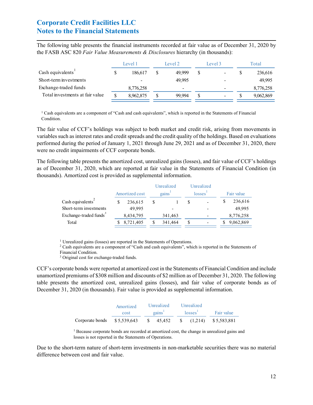The following table presents the financial instruments recorded at fair value as of December 31, 2020 by the FASB ASC 820 *Fair Value Measurements & Disclosures* hierarchy (in thousands):

|                                 |   | Level 1   | Level 2 | Level 3 | Total |           |  |
|---------------------------------|---|-----------|---------|---------|-------|-----------|--|
| Cash equivalents <sup>1</sup>   | S | 186.617   | 49,999  |         |       | 236,616   |  |
| Short-term investments          |   |           | 49.995  |         |       | 49,995    |  |
| Exchange-traded funds           |   | 8,776,258 |         |         |       | 8,776,258 |  |
| Total investments at fair value |   | 8,962,875 | 99.994  | $\,$    |       | 9,062,869 |  |

 $1$  Cash equivalents are a component of "Cash and cash equivalents", which is reported in the Statements of Financial Condition.

The fair value of CCF's holdings was subject to both market and credit risk, arising from movements in variables such as interest rates and credit spreads and the credit quality of the holdings. Based on evaluations performed during the period of January 1, 2021 through June 29, 2021 and as of December 31, 2020, there were no credit impairments of CCF corporate bonds.

The following table presents the amortized cost, unrealized gains (losses), and fair value of CCF's holdings as of December 31, 2020, which are reported at fair value in the Statements of Financial Condition (in thousands). Amortized cost is provided as supplemental information.

| Amortized cost |           |           | gains   |            |                      | Fair value |  |  |
|----------------|-----------|-----------|---------|------------|----------------------|------------|--|--|
| \$             | 236,615   | S         |         | S          |                      | 236,616    |  |  |
|                | 49.995    |           |         |            |                      | 49.995     |  |  |
|                | 8,434,795 |           | 341,463 |            |                      | 8,776,258  |  |  |
|                |           | S         | 341,464 | S          |                      | 9,062,869  |  |  |
|                |           | 8,721,405 |         | Unrealized | Unrealized<br>losses |            |  |  |

<sup>1</sup> Unrealized gains (losses) are reported in the Statements of Operations.

<sup>2</sup> Cash equivalents are a component of "Cash and cash equivalents", which is reported in the Statements of

Financial Condition.

<sup>3</sup> Original cost for exchange-traded funds.

CCF's corporate bonds were reported at amortized cost in the Statements of Financial Condition and include unamortized premiums of \$308 million and discounts of \$2 million as of December 31, 2020. The following table presents the amortized cost, unrealized gains (losses), and fair value of corporate bonds as of December 31, 2020 (in thousands). Fair value is provided as supplemental information.

|                                                              | Amortized | Unrealized                  | Unrealized          |            |
|--------------------------------------------------------------|-----------|-----------------------------|---------------------|------------|
|                                                              | cost      | $\gamma$ gains <sup>1</sup> | losses <sup>1</sup> | Fair value |
| Corporate bonds \$5,539,643 \$ 45,452 \$ (1,214) \$5,583,881 |           |                             |                     |            |

<sup>1</sup> Because corporate bonds are recorded at amortized cost, the change in unrealized gains and losses is not reported in the Statements of Operations.

Due to the short-term nature of short-term investments in non-marketable securities there was no material difference between cost and fair value.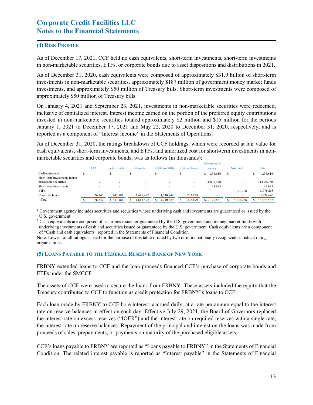#### **(4) RISK PROFILE**

As of December 17, 2021, CCF held no cash equivalents, short-term investments, short-term investments in non-marketable securities, ETFs, or corporate bonds due to asset dispositions and distributions in 2021.

As of December 31, 2020, cash equivalents were composed of approximately \$31.9 billion of short-term investments in non-marketable securities, approximately \$187 million of government money market funds investments, and approximately \$50 million of Treasury bills. Short-term investments were composed of approximately \$50 million of Treasury bills.

On January 4, 2021 and September 23, 2021, investments in non-marketable securities were redeemed, inclusive of capitalized interest. Interest income earned on the portion of the preferred equity contributions invested in non-marketable securities totaled approximately \$2 million and \$15 million for the periods January 1, 2021 to December 17, 2021 and May 22, 2020 to December 31, 2020, respectively, and is reported as a component of "Interest income" in the Statements of Operations.

As of December 31, 2020, the ratings breakdown of CCF holdings, which were recorded at fair value for cash equivalents, short-term investments, and ETFs, and amortized cost for short-term investments in nonmarketable securities and corporate bonds, was as follows (in thousands):

|                                |                          |                |              |                          |               | Government/              |                          |            |
|--------------------------------|--------------------------|----------------|--------------|--------------------------|---------------|--------------------------|--------------------------|------------|
|                                | <b>AAA</b>               | $AA+$ to $AA-$ | $A+$ to $A-$ | BBB+ to BBB-             | BB+ and lower | agency                   | Not rated                | Total      |
| Cash equivalents <sup>2</sup>  | $\overline{\phantom{a}}$ | $\blacksquare$ |              | $\overline{\phantom{a}}$ |               | 236,616                  | $\overline{\phantom{a}}$ | 236,616    |
| Short-term investments in non- |                          |                |              |                          |               |                          |                          |            |
| marketable securities          |                          |                |              | $\sim$                   |               | 31,890,070               |                          | 31,890,070 |
| Short-term investments         |                          |                |              |                          |               | 49.995                   |                          | 49,995     |
| <b>ETFs</b>                    |                          |                |              |                          |               | $\overline{\phantom{0}}$ | 8,776,258                | 8,776,258  |
| Corporate bonds                | 26.342                   | 443,181        | 1,615,492    | 3,230,749                | 223,879       |                          |                          | 5,539,643  |
| Total                          | 26.342                   | \$443,181      | .615,492     | 3,230,749                | 223,879       | \$32,176,681             | 8,776,258                | 46,492,582 |
|                                |                          |                |              |                          |               |                          |                          |            |

<sup>1</sup> Government agency includes securities and securities whose underlying cash and investments are guaranteed or issued by the U.S. government.

<sup>2</sup> Cash equivalents are composed of securities issued or guaranteed by the U.S. government and money market funds with

underlying investments of cash and securities issued or guaranteed by the U.S. government. Cash equivalents are a component of "Cash and cash equivalents" reported in the Statements of Financial Condition.

Note: Lowest of all ratings is used for the purpose of this table if rated by two or more nationally recognized statistical rating organizations.

#### **(5) LOANS PAYABLE TO THE FEDERAL RESERVE BANK OF NEW YORK**

FRBNY extended loans to CCF and the loan proceeds financed CCF's purchase of corporate bonds and ETFs under the SMCCF.

The assets of CCF were used to secure the loans from FRBNY. These assets included the equity that the Treasury contributed to CCF to function as credit protection for FRBNY's loans to CCF.

Each loan made by FRBNY to CCF bore interest, accrued daily, at a rate per annum equal to the interest rate on reserve balances in effect on each day. Effective July 29, 2021, the Board of Governors replaced the interest rate on excess reserves ("IOER") and the interest rate on required reserves with a single rate, the interest rate on reserve balances. Repayment of the principal and interest on the loans was made from proceeds of sales, prepayments, or payments on maturity of the purchased eligible assets.

CCF's loans payable to FRBNY are reported as "Loans payable to FRBNY" in the Statements of Financial Condition. The related interest payable is reported as "Interest payable" in the Statements of Financial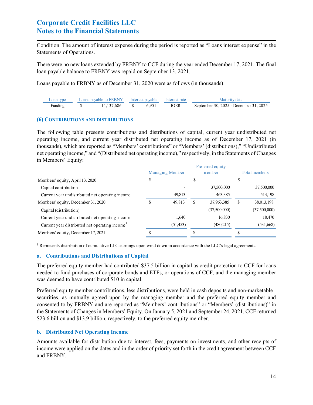Condition. The amount of interest expense during the period is reported as "Loans interest expense" in the Statements of Operations.

There were no new loans extended by FRBNY to CCF during the year ended December 17, 2021. The final loan payable balance to FRBNY was repaid on September 13, 2021.

Loans payable to FRBNY as of December 31, 2020 were as follows (in thousands):

| Loan type |               | Loans payable to FRBNY Interest payable Interest rate |             | Maturity date                          |
|-----------|---------------|-------------------------------------------------------|-------------|----------------------------------------|
| Funding   | 14.137.686 \$ | 6.951                                                 | <b>IOER</b> | September 30, 2025 - December 31, 2025 |

#### **(6) CONTRIBUTIONS AND DISTRIBUTIONS**

The following table presents contributions and distributions of capital, current year undistributed net operating income, and current year distributed net operating income as of December 17, 2021 (in thousands), which are reported as "Members' contributions" or "Members' (distributions)," "Undistributed net operating income," and "(Distributed net operating income)," respectively, in the Statements of Changes in Members' Equity:

|                                                 |                        |           |        | Preferred equity |               |              |
|-------------------------------------------------|------------------------|-----------|--------|------------------|---------------|--------------|
|                                                 | <b>Managing Member</b> |           | member |                  | Total members |              |
| Members' equity, April 13, 2020                 |                        |           |        |                  |               |              |
| Capital contribution                            |                        |           |        | 37,500,000       |               | 37,500,000   |
| Current year undistributed net operating income |                        | 49,813    |        | 463,385          |               | 513,198      |
| Members' equity, December 31, 2020              |                        | 49,813    |        | 37,963,385       |               | 38,013,198   |
| Capital (distribution)                          |                        |           |        | (37,500,000)     |               | (37,500,000) |
| Current year undistributed net operating income |                        | 1.640     |        | 16,830           |               | 18,470       |
| Current year distributed net operating income   |                        | (51, 453) |        | (480,215)        |               | (531,668)    |
| Members' equity, December 17, 2021              |                        | -         |        |                  |               |              |
|                                                 |                        |           |        |                  |               |              |

 $1$  Represents distribution of cumulative LLC earnings upon wind down in accordance with the LLC's legal agreements.

#### **a. Contributions and Distributions of Capital**

The preferred equity member had contributed \$37.5 billion in capital as credit protection to CCF for loans needed to fund purchases of corporate bonds and ETFs, or operations of CCF, and the managing member was deemed to have contributed \$10 in capital.

Preferred equity member contributions, less distributions, were held in cash deposits and non-marketable securities, as mutually agreed upon by the managing member and the preferred equity member and consented to by FRBNY and are reported as "Members' contributions" or "Members' (distributions)" in the Statements of Changes in Members' Equity. On January 5, 2021 and September 24, 2021, CCF returned \$23.6 billion and \$13.9 billion, respectively, to the preferred equity member.

#### **b. Distributed Net Operating Income**

Amounts available for distribution due to interest, fees, payments on investments, and other receipts of income were applied on the dates and in the order of priority set forth in the credit agreement between CCF and FRBNY.